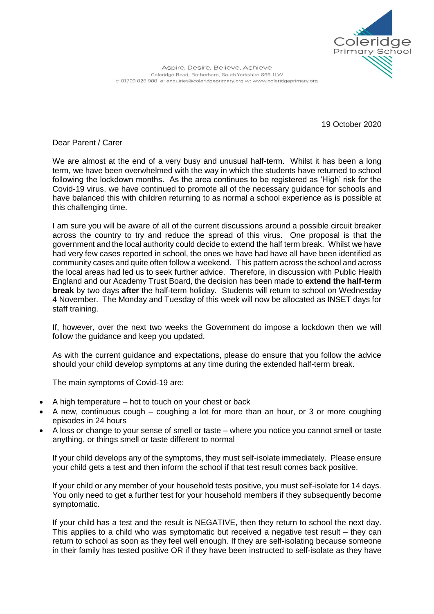

Aspire, Desire, Believe, Achieve Coleridge Road, Rotherham, South Yorkshire S65 1LW t: 01709 828 988 e: enquiries@coleridgeprimary.org w: www.coleridgeprimary.org

19 October 2020

Dear Parent / Carer

We are almost at the end of a very busy and unusual half-term. Whilst it has been a long term, we have been overwhelmed with the way in which the students have returned to school following the lockdown months. As the area continues to be registered as 'High' risk for the Covid-19 virus, we have continued to promote all of the necessary guidance for schools and have balanced this with children returning to as normal a school experience as is possible at this challenging time.

I am sure you will be aware of all of the current discussions around a possible circuit breaker across the country to try and reduce the spread of this virus. One proposal is that the government and the local authority could decide to extend the half term break. Whilst we have had very few cases reported in school, the ones we have had have all have been identified as community cases and quite often follow a weekend. This pattern across the school and across the local areas had led us to seek further advice. Therefore, in discussion with Public Health England and our Academy Trust Board, the decision has been made to **extend the half-term break** by two days **after** the half-term holiday. Students will return to school on Wednesday 4 November. The Monday and Tuesday of this week will now be allocated as INSET days for staff training.

If, however, over the next two weeks the Government do impose a lockdown then we will follow the guidance and keep you updated.

As with the current guidance and expectations, please do ensure that you follow the advice should your child develop symptoms at any time during the extended half-term break.

The main symptoms of Covid-19 are:

- A high temperature hot to touch on your chest or back
- A new, continuous cough coughing a lot for more than an hour, or 3 or more coughing episodes in 24 hours
- A loss or change to your sense of smell or taste where you notice you cannot smell or taste anything, or things smell or taste different to normal

If your child develops any of the symptoms, they must self-isolate immediately. Please ensure your child gets a test and then inform the school if that test result comes back positive.

If your child or any member of your household tests positive, you must self-isolate for 14 days. You only need to get a further test for your household members if they subsequently become symptomatic.

If your child has a test and the result is NEGATIVE, then they return to school the next day. This applies to a child who was symptomatic but received a negative test result – they can return to school as soon as they feel well enough. If they are self-isolating because someone in their family has tested positive OR if they have been instructed to self-isolate as they have